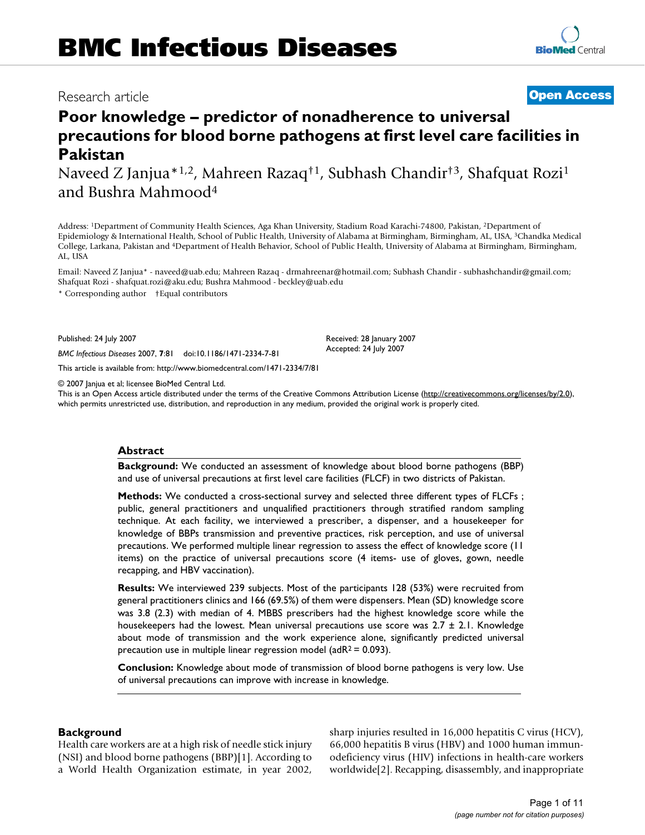# Research article **[Open Access](http://www.biomedcentral.com/info/about/charter/)**

**[BioMed](http://www.biomedcentral.com/)** Central

# **Poor knowledge – predictor of nonadherence to universal precautions for blood borne pathogens at first level care facilities in Pakistan**

Naveed Z Janjua\*1,2, Mahreen Razaq†1, Subhash Chandir†3, Shafquat Rozi1 and Bushra Mahmood4

Address: 1Department of Community Health Sciences, Aga Khan University, Stadium Road Karachi-74800, Pakistan, 2Department of Epidemiology & International Health, School of Public Health, University of Alabama at Birmingham, Birmingham, AL, USA, 3Chandka Medical College, Larkana, Pakistan and 4Department of Health Behavior, School of Public Health, University of Alabama at Birmingham, Birmingham, AL, USA

Email: Naveed Z Janjua\* - naveed@uab.edu; Mahreen Razaq - drmahreenar@hotmail.com; Subhash Chandir - subhashchandir@gmail.com; Shafquat Rozi - shafquat.rozi@aku.edu; Bushra Mahmood - beckley@uab.edu

\* Corresponding author †Equal contributors

Published: 24 July 2007

*BMC Infectious Diseases* 2007, **7**:81 doi:10.1186/1471-2334-7-81

[This article is available from: http://www.biomedcentral.com/1471-2334/7/81](http://www.biomedcentral.com/1471-2334/7/81)

© 2007 Janjua et al; licensee BioMed Central Ltd.

This is an Open Access article distributed under the terms of the Creative Commons Attribution License [\(http://creativecommons.org/licenses/by/2.0\)](http://creativecommons.org/licenses/by/2.0), which permits unrestricted use, distribution, and reproduction in any medium, provided the original work is properly cited.

Received: 28 January 2007 Accepted: 24 July 2007

#### **Abstract**

**Background:** We conducted an assessment of knowledge about blood borne pathogens (BBP) and use of universal precautions at first level care facilities (FLCF) in two districts of Pakistan.

**Methods:** We conducted a cross-sectional survey and selected three different types of FLCFs ; public, general practitioners and unqualified practitioners through stratified random sampling technique. At each facility, we interviewed a prescriber, a dispenser, and a housekeeper for knowledge of BBPs transmission and preventive practices, risk perception, and use of universal precautions. We performed multiple linear regression to assess the effect of knowledge score (11 items) on the practice of universal precautions score (4 items- use of gloves, gown, needle recapping, and HBV vaccination).

**Results:** We interviewed 239 subjects. Most of the participants 128 (53%) were recruited from general practitioners clinics and 166 (69.5%) of them were dispensers. Mean (SD) knowledge score was 3.8 (2.3) with median of 4. MBBS prescribers had the highest knowledge score while the housekeepers had the lowest. Mean universal precautions use score was  $2.7 \pm 2.1$ . Knowledge about mode of transmission and the work experience alone, significantly predicted universal precaution use in multiple linear regression model ( $adR^2 = 0.093$ ).

**Conclusion:** Knowledge about mode of transmission of blood borne pathogens is very low. Use of universal precautions can improve with increase in knowledge.

#### **Background**

Health care workers are at a high risk of needle stick injury (NSI) and blood borne pathogens (BBP)[1]. According to a World Health Organization estimate, in year 2002, sharp injuries resulted in 16,000 hepatitis C virus (HCV), 66,000 hepatitis B virus (HBV) and 1000 human immunodeficiency virus (HIV) infections in health-care workers worldwide[2]. Recapping, disassembly, and inappropriate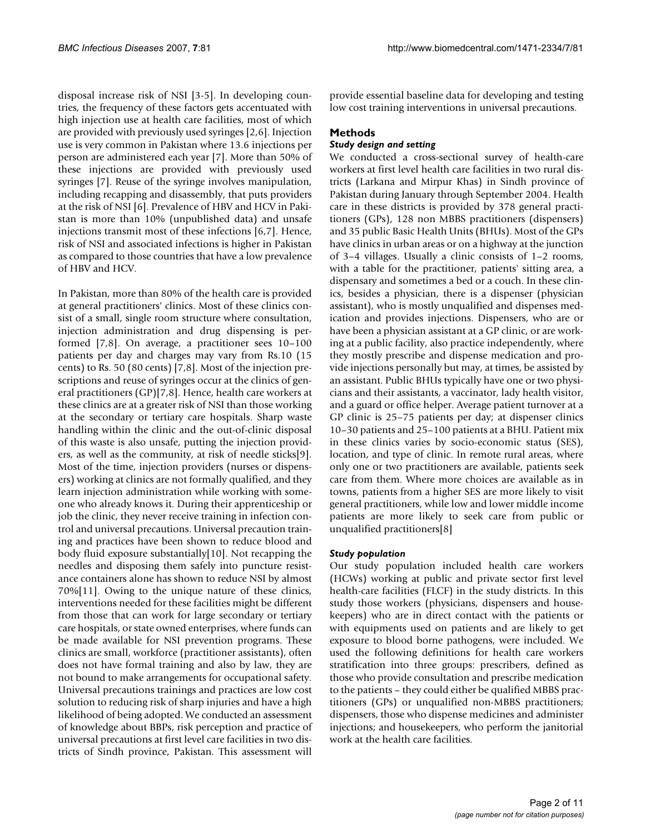disposal increase risk of NSI [3-5]. In developing countries, the frequency of these factors gets accentuated with high injection use at health care facilities, most of which are provided with previously used syringes [2,6]. Injection use is very common in Pakistan where 13.6 injections per person are administered each year [7]. More than 50% of these injections are provided with previously used syringes [7]. Reuse of the syringe involves manipulation, including recapping and disassembly, that puts providers at the risk of NSI [6]. Prevalence of HBV and HCV in Pakistan is more than 10% (unpublished data) and unsafe injections transmit most of these infections [6,7]. Hence, risk of NSI and associated infections is higher in Pakistan as compared to those countries that have a low prevalence of HBV and HCV.

In Pakistan, more than 80% of the health care is provided at general practitioners' clinics. Most of these clinics consist of a small, single room structure where consultation, injection administration and drug dispensing is performed [7,8]. On average, a practitioner sees 10–100 patients per day and charges may vary from Rs.10 (15 cents) to Rs. 50 (80 cents) [7,8]. Most of the injection prescriptions and reuse of syringes occur at the clinics of general practitioners (GP)[7,8]. Hence, health care workers at these clinics are at a greater risk of NSI than those working at the secondary or tertiary care hospitals. Sharp waste handling within the clinic and the out-of-clinic disposal of this waste is also unsafe, putting the injection providers, as well as the community, at risk of needle sticks[9]. Most of the time, injection providers (nurses or dispensers) working at clinics are not formally qualified, and they learn injection administration while working with someone who already knows it. During their apprenticeship or job the clinic, they never receive training in infection control and universal precautions. Universal precaution training and practices have been shown to reduce blood and body fluid exposure substantially[10]. Not recapping the needles and disposing them safely into puncture resistance containers alone has shown to reduce NSI by almost 70%[11]. Owing to the unique nature of these clinics, interventions needed for these facilities might be different from those that can work for large secondary or tertiary care hospitals, or state owned enterprises, where funds can be made available for NSI prevention programs. These clinics are small, workforce (practitioner assistants), often does not have formal training and also by law, they are not bound to make arrangements for occupational safety. Universal precautions trainings and practices are low cost solution to reducing risk of sharp injuries and have a high likelihood of being adopted. We conducted an assessment of knowledge about BBPs, risk perception and practice of universal precautions at first level care facilities in two districts of Sindh province, Pakistan. This assessment will

provide essential baseline data for developing and testing low cost training interventions in universal precautions.

# **Methods**

## *Study design and setting*

We conducted a cross-sectional survey of health-care workers at first level health care facilities in two rural districts (Larkana and Mirpur Khas) in Sindh province of Pakistan during January through September 2004. Health care in these districts is provided by 378 general practitioners (GPs), 128 non MBBS practitioners (dispensers) and 35 public Basic Health Units (BHUs). Most of the GPs have clinics in urban areas or on a highway at the junction of 3–4 villages. Usually a clinic consists of 1–2 rooms, with a table for the practitioner, patients' sitting area, a dispensary and sometimes a bed or a couch. In these clinics, besides a physician, there is a dispenser (physician assistant), who is mostly unqualified and dispenses medication and provides injections. Dispensers, who are or have been a physician assistant at a GP clinic, or are working at a public facility, also practice independently, where they mostly prescribe and dispense medication and provide injections personally but may, at times, be assisted by an assistant. Public BHUs typically have one or two physicians and their assistants, a vaccinator, lady health visitor, and a guard or office helper. Average patient turnover at a GP clinic is 25–75 patients per day; at dispenser clinics 10–30 patients and 25–100 patients at a BHU. Patient mix in these clinics varies by socio-economic status (SES), location, and type of clinic. In remote rural areas, where only one or two practitioners are available, patients seek care from them. Where more choices are available as in towns, patients from a higher SES are more likely to visit general practitioners, while low and lower middle income patients are more likely to seek care from public or unqualified practitioners[8]

### *Study population*

Our study population included health care workers (HCWs) working at public and private sector first level health-care facilities (FLCF) in the study districts. In this study those workers (physicians, dispensers and housekeepers) who are in direct contact with the patients or with equipments used on patients and are likely to get exposure to blood borne pathogens, were included. We used the following definitions for health care workers stratification into three groups: prescribers, defined as those who provide consultation and prescribe medication to the patients – they could either be qualified MBBS practitioners (GPs) or unqualified non-MBBS practitioners; dispensers, those who dispense medicines and administer injections; and housekeepers, who perform the janitorial work at the health care facilities.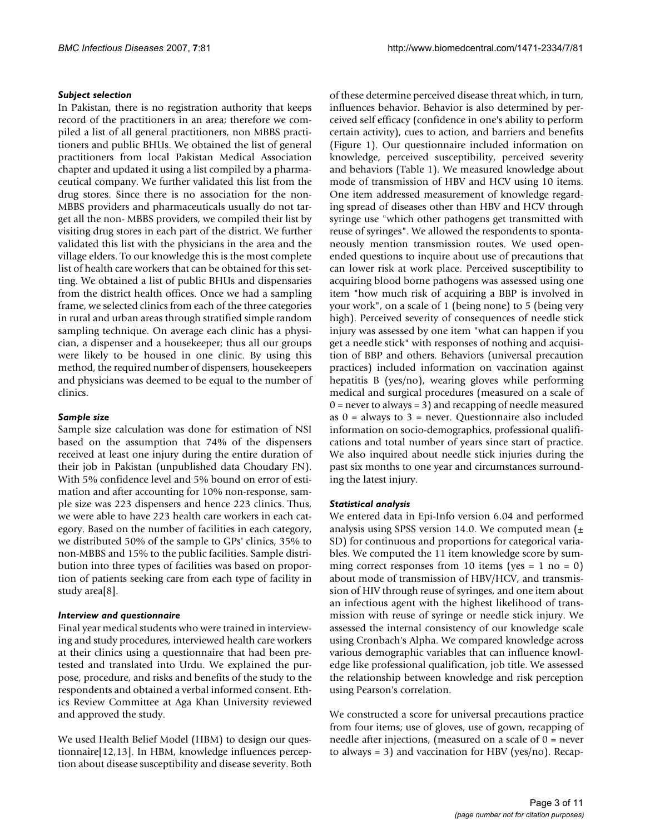### *Subject selection*

In Pakistan, there is no registration authority that keeps record of the practitioners in an area; therefore we compiled a list of all general practitioners, non MBBS practitioners and public BHUs. We obtained the list of general practitioners from local Pakistan Medical Association chapter and updated it using a list compiled by a pharmaceutical company. We further validated this list from the drug stores. Since there is no association for the non-MBBS providers and pharmaceuticals usually do not target all the non- MBBS providers, we compiled their list by visiting drug stores in each part of the district. We further validated this list with the physicians in the area and the village elders. To our knowledge this is the most complete list of health care workers that can be obtained for this setting. We obtained a list of public BHUs and dispensaries from the district health offices. Once we had a sampling frame, we selected clinics from each of the three categories in rural and urban areas through stratified simple random sampling technique. On average each clinic has a physician, a dispenser and a housekeeper; thus all our groups were likely to be housed in one clinic. By using this method, the required number of dispensers, housekeepers and physicians was deemed to be equal to the number of clinics.

## *Sample size*

Sample size calculation was done for estimation of NSI based on the assumption that 74% of the dispensers received at least one injury during the entire duration of their job in Pakistan (unpublished data Choudary FN). With 5% confidence level and 5% bound on error of estimation and after accounting for 10% non-response, sample size was 223 dispensers and hence 223 clinics. Thus, we were able to have 223 health care workers in each category. Based on the number of facilities in each category, we distributed 50% of the sample to GPs' clinics, 35% to non-MBBS and 15% to the public facilities. Sample distribution into three types of facilities was based on proportion of patients seeking care from each type of facility in study area[8].

### *Interview and questionnaire*

Final year medical students who were trained in interviewing and study procedures, interviewed health care workers at their clinics using a questionnaire that had been pretested and translated into Urdu. We explained the purpose, procedure, and risks and benefits of the study to the respondents and obtained a verbal informed consent. Ethics Review Committee at Aga Khan University reviewed and approved the study.

We used Health Belief Model (HBM) to design our questionnaire[12,13]. In HBM, knowledge influences perception about disease susceptibility and disease severity. Both of these determine perceived disease threat which, in turn, influences behavior. Behavior is also determined by perceived self efficacy (confidence in one's ability to perform certain activity), cues to action, and barriers and benefits (Figure 1). Our questionnaire included information on knowledge, perceived susceptibility, perceived severity and behaviors (Table 1). We measured knowledge about mode of transmission of HBV and HCV using 10 items. One item addressed measurement of knowledge regarding spread of diseases other than HBV and HCV through syringe use "which other pathogens get transmitted with reuse of syringes". We allowed the respondents to spontaneously mention transmission routes. We used openended questions to inquire about use of precautions that can lower risk at work place. Perceived susceptibility to acquiring blood borne pathogens was assessed using one item "how much risk of acquiring a BBP is involved in your work", on a scale of 1 (being none) to 5 (being very high). Perceived severity of consequences of needle stick injury was assessed by one item "what can happen if you get a needle stick" with responses of nothing and acquisition of BBP and others. Behaviors (universal precaution practices) included information on vaccination against hepatitis B (yes/no), wearing gloves while performing medical and surgical procedures (measured on a scale of  $0$  = never to always = 3) and recapping of needle measured as  $0 =$  always to  $3 =$  never. Questionnaire also included information on socio-demographics, professional qualifications and total number of years since start of practice. We also inquired about needle stick injuries during the past six months to one year and circumstances surrounding the latest injury.

### *Statistical analysis*

We entered data in Epi-Info version 6.04 and performed analysis using SPSS version 14.0. We computed mean  $(\pm)$ SD) for continuous and proportions for categorical variables. We computed the 11 item knowledge score by summing correct responses from 10 items (yes =  $1$  no = 0) about mode of transmission of HBV/HCV, and transmission of HIV through reuse of syringes, and one item about an infectious agent with the highest likelihood of transmission with reuse of syringe or needle stick injury. We assessed the internal consistency of our knowledge scale using Cronbach's Alpha. We compared knowledge across various demographic variables that can influence knowledge like professional qualification, job title. We assessed the relationship between knowledge and risk perception using Pearson's correlation.

We constructed a score for universal precautions practice from four items; use of gloves, use of gown, recapping of needle after injections, (measured on a scale of 0 = never to always = 3) and vaccination for HBV (yes/no). Recap-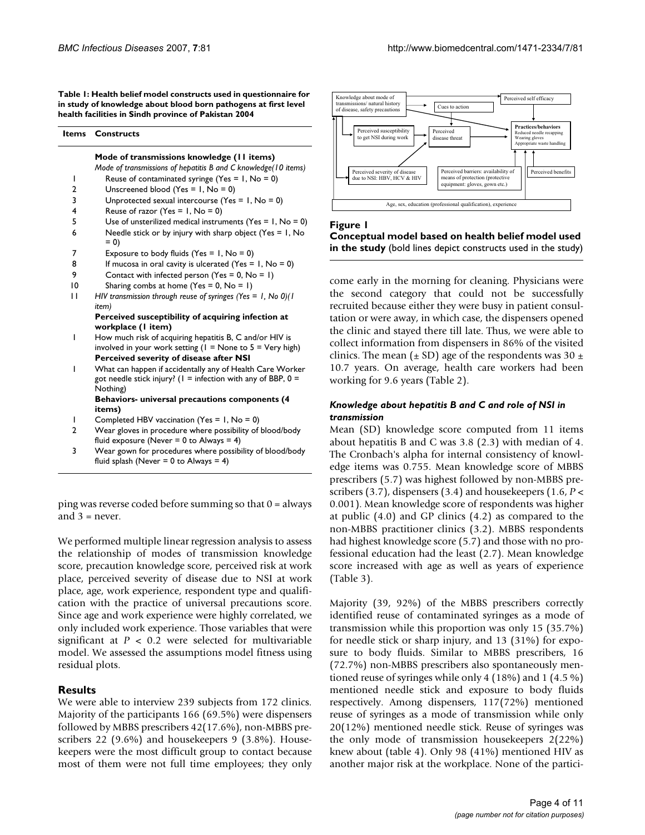**Table 1: Health belief model constructs used in questionnaire for in study of knowledge about blood born pathogens at first level health facilities in Sindh province of Pakistan 2004**

| Items          | <b>Constructs</b>                                                                                                                          |  |
|----------------|--------------------------------------------------------------------------------------------------------------------------------------------|--|
|                | Mode of transmissions knowledge (11 items)                                                                                                 |  |
|                | Mode of transmissions of hepatitis B and C knowledge(10 items)                                                                             |  |
| L              | Reuse of contaminated syringe (Yes = 1, No = 0)                                                                                            |  |
| $\overline{2}$ | Unscreened blood (Yes = $1$ , No = 0)                                                                                                      |  |
| 3              | Unprotected sexual intercourse (Yes = $1$ , No = 0)                                                                                        |  |
| 4              | Reuse of razor (Yes = $1$ , No = 0)                                                                                                        |  |
| 5              | Use of unsterilized medical instruments (Yes = $1$ , No = 0)                                                                               |  |
| 6              | Needle stick or by injury with sharp object (Yes $= 1$ , No<br>$= 0$                                                                       |  |
| 7              | Exposure to body fluids (Yes = 1, $No = 0$ )                                                                                               |  |
| 8              | If mucosa in oral cavity is ulcerated (Yes = 1, $No = 0$ )                                                                                 |  |
| 9              | Contact with infected person (Yes = 0, No = 1)                                                                                             |  |
| 10             | Sharing combs at home (Yes = 0, No = 1)                                                                                                    |  |
| П              | HIV transmission through reuse of syringes (Yes = 1, No 0)(1)<br>item)                                                                     |  |
|                | Perceived susceptibility of acquiring infection at<br>workplace (1 item)                                                                   |  |
| I              | How much risk of acquiring hepatitis B, C and/or HIV is                                                                                    |  |
|                | involved in your work setting $(I = None$ to $5 = Very$ high)                                                                              |  |
|                | Perceived severity of disease after NSI                                                                                                    |  |
| ı              | What can happen if accidentally any of Health Care Worker<br>got needle stick injury? ( $I =$ infection with any of BBP, $0 =$<br>Nothing) |  |
|                | Behaviors- universal precautions components (4                                                                                             |  |
|                | items)                                                                                                                                     |  |
| L              | Completed HBV vaccination (Yes = 1, No = 0)                                                                                                |  |
| 2              | Wear gloves in procedure where possibility of blood/body<br>fluid exposure (Never = $0$ to Always = 4)                                     |  |
| 3              | Wear gown for procedures where possibility of blood/body                                                                                   |  |

fluid splash (Never = 0 to Always = 4)

ping was reverse coded before summing so that 0 = always and 3 = never.

We performed multiple linear regression analysis to assess the relationship of modes of transmission knowledge score, precaution knowledge score, perceived risk at work place, perceived severity of disease due to NSI at work place, age, work experience, respondent type and qualification with the practice of universal precautions score. Since age and work experience were highly correlated, we only included work experience. Those variables that were significant at  $P < 0.2$  were selected for multivariable model. We assessed the assumptions model fitness using residual plots.

### **Results**

We were able to interview 239 subjects from 172 clinics. Majority of the participants 166 (69.5%) were dispensers followed by MBBS prescribers 42(17.6%), non-MBBS prescribers 22 (9.6%) and housekeepers 9 (3.8%). Housekeepers were the most difficult group to contact because most of them were not full time employees; they only



#### Figure 1

**Conceptual model based on health belief model used in the study** (bold lines depict constructs used in the study)

come early in the morning for cleaning. Physicians were the second category that could not be successfully recruited because either they were busy in patient consultation or were away, in which case, the dispensers opened the clinic and stayed there till late. Thus, we were able to collect information from dispensers in 86% of the visited clinics. The mean ( $\pm$  SD) age of the respondents was 30  $\pm$ 10.7 years. On average, health care workers had been working for 9.6 years (Table 2).

#### *Knowledge about hepatitis B and C and role of NSI in transmission*

Mean (SD) knowledge score computed from 11 items about hepatitis B and C was 3.8 (2.3) with median of 4. The Cronbach's alpha for internal consistency of knowledge items was 0.755. Mean knowledge score of MBBS prescribers (5.7) was highest followed by non-MBBS prescribers (3.7), dispensers (3.4) and housekeepers (1.6, *P* < 0.001). Mean knowledge score of respondents was higher at public (4.0) and GP clinics (4.2) as compared to the non-MBBS practitioner clinics (3.2). MBBS respondents had highest knowledge score (5.7) and those with no professional education had the least (2.7). Mean knowledge score increased with age as well as years of experience (Table 3).

Majority (39, 92%) of the MBBS prescribers correctly identified reuse of contaminated syringes as a mode of transmission while this proportion was only 15 (35.7%) for needle stick or sharp injury, and 13 (31%) for exposure to body fluids. Similar to MBBS prescribers, 16 (72.7%) non-MBBS prescribers also spontaneously mentioned reuse of syringes while only 4 (18%) and 1 (4.5 %) mentioned needle stick and exposure to body fluids respectively. Among dispensers, 117(72%) mentioned reuse of syringes as a mode of transmission while only 20(12%) mentioned needle stick. Reuse of syringes was the only mode of transmission housekeepers 2(22%) knew about (table 4). Only 98 (41%) mentioned HIV as another major risk at the workplace. None of the partici-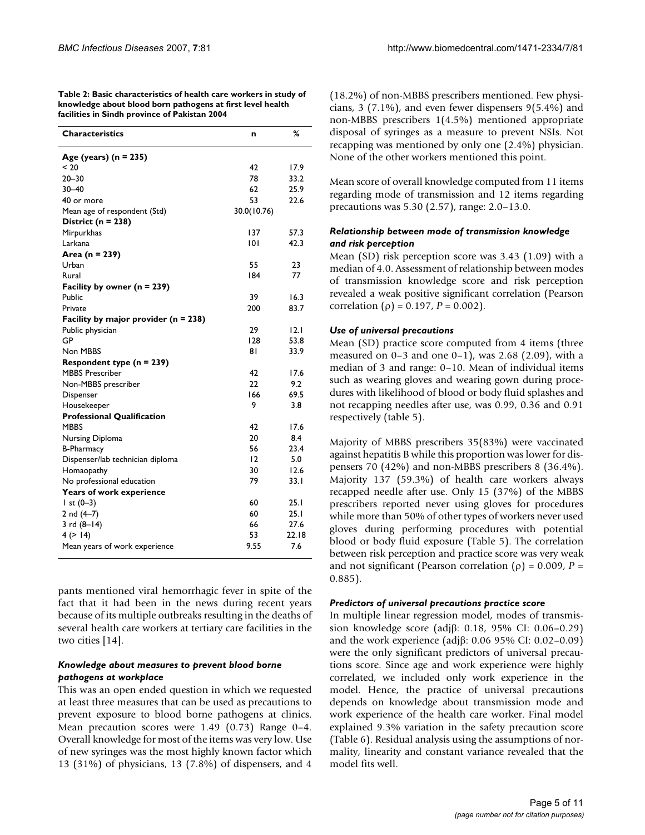| Table 2: Basic characteristics of health care workers in study of |
|-------------------------------------------------------------------|
| knowledge about blood born pathogens at first level health        |
| facilities in Sindh province of Pakistan 2004                     |

| <b>Characteristics</b>                 | n           | ℅     |
|----------------------------------------|-------------|-------|
| Age (years) $(n = 235)$                |             |       |
| < 20                                   | 42          | 17.9  |
| $20 - 30$                              | 78          | 33.2  |
| $30 - 40$                              | 62          | 25.9  |
| 40 or more                             | 53          | 22.6  |
| Mean age of respondent (Std)           | 30.0(10.76) |       |
| District $(n = 238)$                   |             |       |
| Mirpurkhas                             | 137         | 57.3  |
| Larkana                                | 101         | 42.3  |
| Area (n = 239)                         |             |       |
| Urban                                  | 55          | 23    |
| Rural                                  | 184         | 77    |
| Facility by owner $(n = 239)$          |             |       |
| Public                                 | 39          | 16.3  |
| Private                                | 200         | 83.7  |
| Facility by major provider $(n = 238)$ |             |       |
| Public physician                       | 29          | 12.1  |
| GP                                     | 128         | 53.8  |
| Non MBBS                               | 81          | 33.9  |
| Respondent type (n = 239)              |             |       |
| <b>MBBS Prescriber</b>                 | 42          | 17.6  |
| Non-MBBS prescriber                    | 22          | 9.2   |
| Dispenser                              | 166         | 69.5  |
| Housekeeper                            | 9           | 3.8   |
| <b>Professional Qualification</b>      |             |       |
| MBBS                                   | 42          | 17.6  |
| Nursing Diploma                        | 20          | 8.4   |
| B-Pharmacy                             | 56          | 23.4  |
| Dispenser/lab technician diploma       | 12          | 5.0   |
| Homaopathy                             | 30          | 12.6  |
| No professional education              | 79          | 33. I |
| Years of work experience               |             |       |
| $1 st (0-3)$                           | 60          | 25. I |
| 2 nd $(4-7)$                           | 60          | 25.1  |
| 3 rd $(8-14)$                          | 66          | 27.6  |
| 4 (> 14)                               | 53          | 22.18 |
| Mean years of work experience          | 9.55        | 7.6   |

pants mentioned viral hemorrhagic fever in spite of the fact that it had been in the news during recent years because of its multiple outbreaks resulting in the deaths of several health care workers at tertiary care facilities in the two cities [14].

#### *Knowledge about measures to prevent blood borne pathogens at workplace*

This was an open ended question in which we requested at least three measures that can be used as precautions to prevent exposure to blood borne pathogens at clinics. Mean precaution scores were 1.49 (0.73) Range 0–4. Overall knowledge for most of the items was very low. Use of new syringes was the most highly known factor which 13 (31%) of physicians, 13 (7.8%) of dispensers, and 4

(18.2%) of non-MBBS prescribers mentioned. Few physicians, 3 (7.1%), and even fewer dispensers 9(5.4%) and non-MBBS prescribers 1(4.5%) mentioned appropriate disposal of syringes as a measure to prevent NSIs. Not recapping was mentioned by only one (2.4%) physician. None of the other workers mentioned this point.

Mean score of overall knowledge computed from 11 items regarding mode of transmission and 12 items regarding precautions was 5.30 (2.57), range: 2.0–13.0.

#### *Relationship between mode of transmission knowledge and risk perception*

Mean (SD) risk perception score was 3.43 (1.09) with a median of 4.0. Assessment of relationship between modes of transmission knowledge score and risk perception revealed a weak positive significant correlation (Pearson correlation (ρ) = 0.197,  $P = 0.002$ ).

#### *Use of universal precautions*

Mean (SD) practice score computed from 4 items (three measured on  $0-3$  and one  $0-1$ ), was 2.68 (2.09), with a median of 3 and range: 0–10. Mean of individual items such as wearing gloves and wearing gown during procedures with likelihood of blood or body fluid splashes and not recapping needles after use, was 0.99, 0.36 and 0.91 respectively (table 5).

Majority of MBBS prescribers 35(83%) were vaccinated against hepatitis B while this proportion was lower for dispensers 70 (42%) and non-MBBS prescribers 8 (36.4%). Majority 137 (59.3%) of health care workers always recapped needle after use. Only 15 (37%) of the MBBS prescribers reported never using gloves for procedures while more than 50% of other types of workers never used gloves during performing procedures with potential blood or body fluid exposure (Table 5). The correlation between risk perception and practice score was very weak and not significant (Pearson correlation (ρ) = 0.009, *P* = 0.885).

#### *Predictors of universal precautions practice score*

In multiple linear regression model, modes of transmission knowledge score (adjβ: 0.18, 95% CI: 0.06–0.29) and the work experience (adjβ: 0.06 95% CI: 0.02–0.09) were the only significant predictors of universal precautions score. Since age and work experience were highly correlated, we included only work experience in the model. Hence, the practice of universal precautions depends on knowledge about transmission mode and work experience of the health care worker. Final model explained 9.3% variation in the safety precaution score (Table 6). Residual analysis using the assumptions of normality, linearity and constant variance revealed that the model fits well.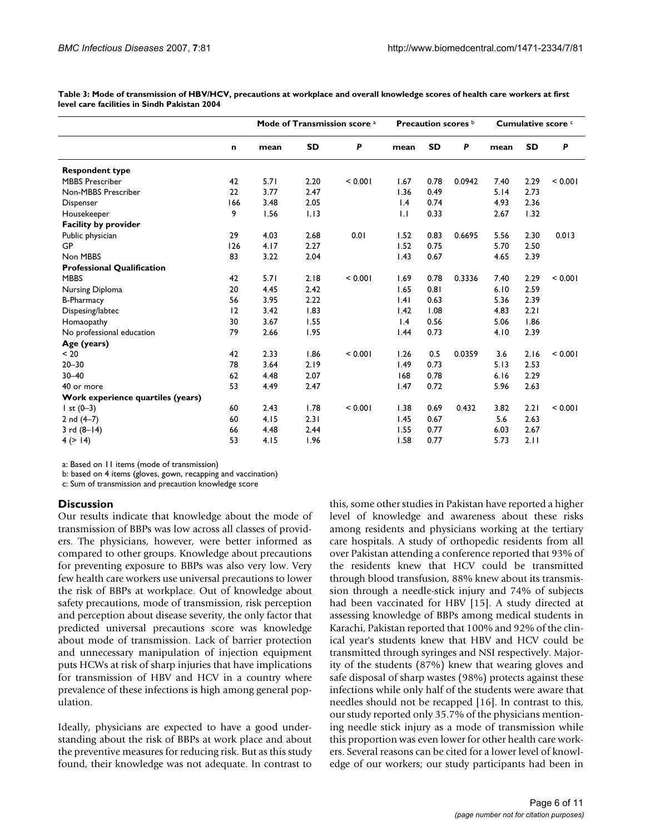|                                   |     |      |           | Mode of Transmission score <sup>a</sup> |      |           | Precaution scores b |      |           | Cumulative score c |
|-----------------------------------|-----|------|-----------|-----------------------------------------|------|-----------|---------------------|------|-----------|--------------------|
|                                   | n   | mean | <b>SD</b> | P                                       | mean | <b>SD</b> | P                   | mean | <b>SD</b> | P                  |
| <b>Respondent type</b>            |     |      |           |                                         |      |           |                     |      |           |                    |
| <b>MBBS Prescriber</b>            | 42  | 5.71 | 2.20      | < 0.001                                 | 1.67 | 0.78      | 0.0942              | 7.40 | 2.29      | < 0.001            |
| Non-MBBS Prescriber               | 22  | 3.77 | 2.47      |                                         | 1.36 | 0.49      |                     | 5.14 | 2.73      |                    |
| Dispenser                         | 166 | 3.48 | 2.05      |                                         | 1.4  | 0.74      |                     | 4.93 | 2.36      |                    |
| Housekeeper                       | 9   | 1.56 | 1.13      |                                         | 1.1  | 0.33      |                     | 2.67 | 1.32      |                    |
| Facility by provider              |     |      |           |                                         |      |           |                     |      |           |                    |
| Public physician                  | 29  | 4.03 | 2.68      | 0.01                                    | 1.52 | 0.83      | 0.6695              | 5.56 | 2.30      | 0.013              |
| GP                                | 126 | 4.17 | 2.27      |                                         | 1.52 | 0.75      |                     | 5.70 | 2.50      |                    |
| Non MBBS                          | 83  | 3.22 | 2.04      |                                         | 1.43 | 0.67      |                     | 4.65 | 2.39      |                    |
| <b>Professional Qualification</b> |     |      |           |                                         |      |           |                     |      |           |                    |
| <b>MBBS</b>                       | 42  | 5.71 | 2.18      | < 0.001                                 | 1.69 | 0.78      | 0.3336              | 7.40 | 2.29      | < 0.001            |
| Nursing Diploma                   | 20  | 4.45 | 2.42      |                                         | 1.65 | 0.81      |                     | 6.10 | 2.59      |                    |
| <b>B-Pharmacy</b>                 | 56  | 3.95 | 2.22      |                                         | .4   | 0.63      |                     | 5.36 | 2.39      |                    |
| Dispesing/labtec                  | 12  | 3.42 | 1.83      |                                         | 1.42 | 1.08      |                     | 4.83 | 2.21      |                    |
| Homaopathy                        | 30  | 3.67 | 1.55      |                                         | 1.4  | 0.56      |                     | 5.06 | 1.86      |                    |
| No professional education         | 79  | 2.66 | 1.95      |                                         | 1.44 | 0.73      |                     | 4.10 | 2.39      |                    |
| Age (years)                       |     |      |           |                                         |      |           |                     |      |           |                    |
| < 20                              | 42  | 2.33 | 1.86      | < 0.001                                 | 1.26 | 0.5       | 0.0359              | 3.6  | 2.16      | < 0.001            |
| $20 - 30$                         | 78  | 3.64 | 2.19      |                                         | 1.49 | 0.73      |                     | 5.13 | 2.53      |                    |
| $30 - 40$                         | 62  | 4.48 | 2.07      |                                         | 168  | 0.78      |                     | 6.16 | 2.29      |                    |
| 40 or more                        | 53  | 4.49 | 2.47      |                                         | 1.47 | 0.72      |                     | 5.96 | 2.63      |                    |
| Work experience quartiles (years) |     |      |           |                                         |      |           |                     |      |           |                    |
| $1 st (0-3)$                      | 60  | 2.43 | 1.78      | < 0.001                                 | 1.38 | 0.69      | 0.432               | 3.82 | 2.21      | < 0.001            |
| 2 nd $(4-7)$                      | 60  | 4.15 | 2.31      |                                         | 1.45 | 0.67      |                     | 5.6  | 2.63      |                    |
| 3 rd $(8-14)$                     | 66  | 4.48 | 2.44      |                                         | 1.55 | 0.77      |                     | 6.03 | 2.67      |                    |
| 4 (> 14)                          | 53  | 4.15 | 1.96      |                                         | 1.58 | 0.77      |                     | 5.73 | 2.11      |                    |

**Table 3: Mode of transmission of HBV/HCV, precautions at workplace and overall knowledge scores of health care workers at first level care facilities in Sindh Pakistan 2004**

a: Based on 11 items (mode of transmission)

b: based on 4 items (gloves, gown, recapping and vaccination)

c: Sum of transmission and precaution knowledge score

#### **Discussion**

Our results indicate that knowledge about the mode of transmission of BBPs was low across all classes of providers. The physicians, however, were better informed as compared to other groups. Knowledge about precautions for preventing exposure to BBPs was also very low. Very few health care workers use universal precautions to lower the risk of BBPs at workplace. Out of knowledge about safety precautions, mode of transmission, risk perception and perception about disease severity, the only factor that predicted universal precautions score was knowledge about mode of transmission. Lack of barrier protection and unnecessary manipulation of injection equipment puts HCWs at risk of sharp injuries that have implications for transmission of HBV and HCV in a country where prevalence of these infections is high among general population.

Ideally, physicians are expected to have a good understanding about the risk of BBPs at work place and about the preventive measures for reducing risk. But as this study found, their knowledge was not adequate. In contrast to

this, some other studies in Pakistan have reported a higher level of knowledge and awareness about these risks among residents and physicians working at the tertiary care hospitals. A study of orthopedic residents from all over Pakistan attending a conference reported that 93% of the residents knew that HCV could be transmitted through blood transfusion, 88% knew about its transmission through a needle-stick injury and 74% of subjects had been vaccinated for HBV [15]. A study directed at assessing knowledge of BBPs among medical students in Karachi, Pakistan reported that 100% and 92% of the clinical year's students knew that HBV and HCV could be transmitted through syringes and NSI respectively. Majority of the students (87%) knew that wearing gloves and safe disposal of sharp wastes (98%) protects against these infections while only half of the students were aware that needles should not be recapped [16]. In contrast to this, our study reported only 35.7% of the physicians mentioning needle stick injury as a mode of transmission while this proportion was even lower for other health care workers. Several reasons can be cited for a lower level of knowledge of our workers; our study participants had been in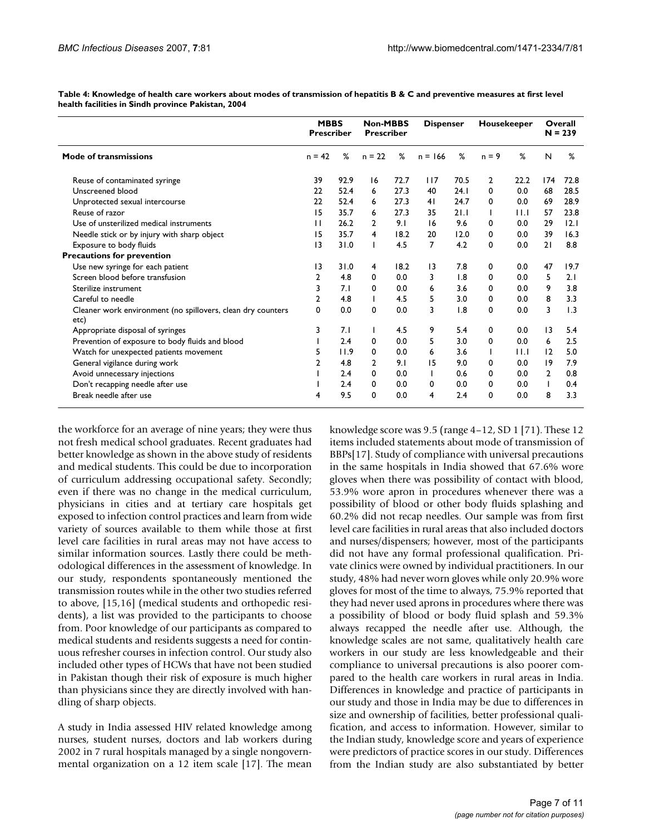|                                                                     |                 | <b>MBBS</b><br><b>Prescriber</b> |          | <b>Non-MBBS</b><br><b>Prescriber</b> |           | <b>Dispenser</b> | Housekeeper  |             | Overall<br>$N = 239$ |      |
|---------------------------------------------------------------------|-----------------|----------------------------------|----------|--------------------------------------|-----------|------------------|--------------|-------------|----------------------|------|
| Mode of transmissions                                               | $n = 42$        | %                                | $n = 22$ | %                                    | $n = 166$ | %                | $n = 9$      | %           | N                    | %    |
| Reuse of contaminated syringe                                       | 39              | 92.9                             | 16       | 72.7                                 | 117       | 70.5             | $\mathbf{2}$ | 22.2        | 174                  | 72.8 |
| Unscreened blood                                                    | 22              | 52.4                             | 6        | 27.3                                 | 40        | 24.1             | 0            | 0.0         | 68                   | 28.5 |
| Unprotected sexual intercourse                                      | 22              | 52.4                             | 6        | 27.3                                 | 41        | 24.7             | 0            | 0.0         | 69                   | 28.9 |
| Reuse of razor                                                      | 15              | 35.7                             | 6        | 27.3                                 | 35        | 21.1             |              | $  \cdot  $ | 57                   | 23.8 |
| Use of unsterilized medical instruments                             | $\mathbf{H}$    | 26.2                             | 2        | 9.1                                  | 16        | 9.6              | 0            | 0.0         | 29                   | 12.1 |
| Needle stick or by injury with sharp object                         | 15              | 35.7                             | 4        | 18.2                                 | 20        | 12.0             | 0            | 0.0         | 39                   | 16.3 |
| Exposure to body fluids                                             | $\overline{13}$ | 31.0                             |          | 4.5                                  | 7         | 4.2              | $\Omega$     | 0.0         | 21                   | 8.8  |
| <b>Precautions for prevention</b>                                   |                 |                                  |          |                                      |           |                  |              |             |                      |      |
| Use new syringe for each patient                                    | 13              | 31.0                             | 4        | 18.2                                 | 13        | 7.8              | 0            | 0.0         | 47                   | 19.7 |
| Screen blood before transfusion                                     | 2               | 4.8                              | 0        | 0.0                                  | 3         | 1.8              | 0            | 0.0         | 5                    | 2.1  |
| Sterilize instrument                                                | 3               | 7.1                              | $\Omega$ | 0.0                                  | 6         | 3.6              | $\Omega$     | 0.0         | 9                    | 3.8  |
| Careful to needle                                                   | 2               | 4.8                              |          | 4.5                                  | 5.        | 3.0              | 0            | 0.0         | 8                    | 3.3  |
| Cleaner work environment (no spillovers, clean dry counters<br>etc) | 0               | 0.0                              | 0        | 0.0                                  | 3         | 1.8              | $\Omega$     | 0.0         | 3                    | 1.3  |
| Appropriate disposal of syringes                                    | 3               | 7.1                              |          | 4.5                                  | 9         | 5.4              | 0            | 0.0         | $\overline{13}$      | 5.4  |
| Prevention of exposure to body fluids and blood                     |                 | 2.4                              | 0        | 0.0                                  | 5.        | 3.0              | $\Omega$     | 0.0         | 6                    | 2.5  |
| Watch for unexpected patients movement                              | 5               | 11.9                             | 0        | 0.0                                  | 6         | 3.6              |              | 11.1        | 12                   | 5.0  |
| General vigilance during work                                       | 2               | 4.8                              | 2        | 9.1                                  | 15        | 9.0              | 0            | 0.0         | 9                    | 7.9  |
| Avoid unnecessary injections                                        |                 | 2.4                              | 0        | 0.0                                  |           | 0.6              | 0            | 0.0         | 2                    | 0.8  |
| Don't recapping needle after use                                    |                 | $2.4\,$                          | 0        | 0.0                                  | 0         | 0.0              | 0            | 0.0         |                      | 0.4  |
| Break needle after use                                              |                 | 9.5                              | $\Omega$ | 0.0                                  | 4         | 2.4              | $\Omega$     | 0.0         | 8                    | 3.3  |

**Table 4: Knowledge of health care workers about modes of transmission of hepatitis B & C and preventive measures at first level health facilities in Sindh province Pakistan, 2004**

the workforce for an average of nine years; they were thus not fresh medical school graduates. Recent graduates had better knowledge as shown in the above study of residents and medical students. This could be due to incorporation of curriculum addressing occupational safety. Secondly; even if there was no change in the medical curriculum, physicians in cities and at tertiary care hospitals get exposed to infection control practices and learn from wide variety of sources available to them while those at first level care facilities in rural areas may not have access to similar information sources. Lastly there could be methodological differences in the assessment of knowledge. In our study, respondents spontaneously mentioned the transmission routes while in the other two studies referred to above, [15,16] (medical students and orthopedic residents), a list was provided to the participants to choose from. Poor knowledge of our participants as compared to medical students and residents suggests a need for continuous refresher courses in infection control. Our study also included other types of HCWs that have not been studied in Pakistan though their risk of exposure is much higher than physicians since they are directly involved with handling of sharp objects.

A study in India assessed HIV related knowledge among nurses, student nurses, doctors and lab workers during 2002 in 7 rural hospitals managed by a single nongovernmental organization on a 12 item scale [17]. The mean

knowledge score was 9.5 (range 4–12, SD 1 [71). These 12 items included statements about mode of transmission of BBPs[17]. Study of compliance with universal precautions in the same hospitals in India showed that 67.6% wore gloves when there was possibility of contact with blood, 53.9% wore apron in procedures whenever there was a possibility of blood or other body fluids splashing and 60.2% did not recap needles. Our sample was from first level care facilities in rural areas that also included doctors and nurses/dispensers; however, most of the participants did not have any formal professional qualification. Private clinics were owned by individual practitioners. In our study, 48% had never worn gloves while only 20.9% wore gloves for most of the time to always, 75.9% reported that they had never used aprons in procedures where there was a possibility of blood or body fluid splash and 59.3% always recapped the needle after use. Although, the knowledge scales are not same, qualitatively health care workers in our study are less knowledgeable and their compliance to universal precautions is also poorer compared to the health care workers in rural areas in India. Differences in knowledge and practice of participants in our study and those in India may be due to differences in size and ownership of facilities, better professional qualification, and access to information. However, similar to the Indian study, knowledge score and years of experience were predictors of practice scores in our study. Differences from the Indian study are also substantiated by better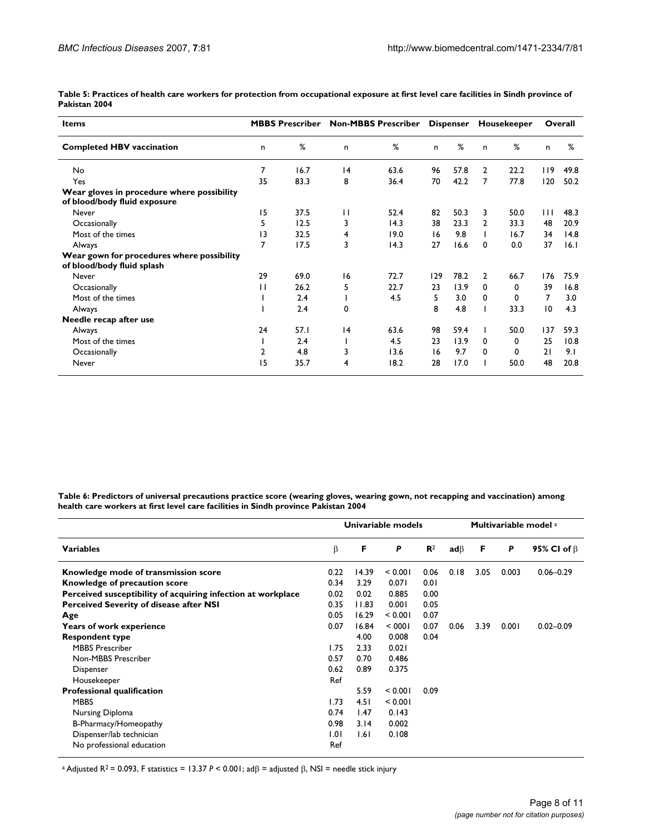| <b>Items</b>                                                               | <b>MBBS Prescriber Non-MBBS Prescriber Dispenser</b> |      |                 |      |     | Housekeeper |                | Overall     |     |      |
|----------------------------------------------------------------------------|------------------------------------------------------|------|-----------------|------|-----|-------------|----------------|-------------|-----|------|
| <b>Completed HBV vaccination</b>                                           |                                                      | %    | n               | %    | n.  | %           | n              | %           | n   | %    |
| No                                                                         | 7                                                    | 16.7 | 4               | 63.6 | 96  | 57.8        | $\mathcal{P}$  | 22.2        | 119 | 49.8 |
| Yes                                                                        | 35                                                   | 83.3 | 8               | 36.4 | 70  | 42.2        | 7              | 77.8        | 120 | 50.2 |
| Wear gloves in procedure where possibility<br>of blood/body fluid exposure |                                                      |      |                 |      |     |             |                |             |     |      |
| Never                                                                      | 15                                                   | 37.5 | $\mathbf{H}$    | 52.4 | 82  | 50.3        | 3              | 50.0        | Ш   | 48.3 |
| Occasionally                                                               | 5                                                    | 12.5 | 3               | 14.3 | 38  | 23.3        | $\mathcal{P}$  | 33.3        | 48  | 20.9 |
| Most of the times                                                          | 3                                                    | 32.5 | 4               | 19.0 | 16  | 9.8         |                | 16.7        | 34  | 14.8 |
| Always                                                                     | 7                                                    | 17.5 | 3               | 14.3 | 27  | 16.6        | 0              | 0.0         | 37  | 16.1 |
| Wear gown for procedures where possibility<br>of blood/body fluid splash   |                                                      |      |                 |      |     |             |                |             |     |      |
| Never                                                                      | 29                                                   | 69.0 | 16              | 72.7 | 129 | 78.2        | $\overline{2}$ | 66.7        | 176 | 75.9 |
| Occasionally                                                               | $\mathbf{H}$                                         | 26.2 | 5               | 22.7 | 23  | 13.9        | $\mathbf 0$    | $\mathbf 0$ | 39  | 16.8 |
| Most of the times                                                          |                                                      | 2.4  |                 | 4.5  | 5   | 3.0         | $\Omega$       | 0           | 7   | 3.0  |
| <b>Always</b>                                                              |                                                      | 2.4  | 0               |      | 8   | 4.8         |                | 33.3        | 10  | 4.3  |
| Needle recap after use                                                     |                                                      |      |                 |      |     |             |                |             |     |      |
| Always                                                                     | 24                                                   | 57.I | $\overline{14}$ | 63.6 | 98  | 59.4        |                | 50.0        | 137 | 59.3 |
| Most of the times                                                          |                                                      | 2.4  |                 | 4.5  | 23  | 13.9        | $\Omega$       | 0           | 25  | 10.8 |
| Occasionally                                                               | $\mathbf{2}$                                         | 4.8  | 3               | 13.6 | 16  | 9.7         | $\Omega$       | 0           | 21  | 9.1  |
| Never                                                                      | 15                                                   | 35.7 | 4               | 18.2 | 28  | 17.0        |                | 50.0        | 48  | 20.8 |

**Table 5: Practices of health care workers for protection from occupational exposure at first level care facilities in Sindh province of Pakistan 2004**

**Table 6: Predictors of universal precautions practice score (wearing gloves, wearing gown, not recapping and vaccination) among health care workers at first level care facilities in Sindh province Pakistan 2004**

|                                                              | Univariable models |       |         |                |           | Multivariable model a |       |                   |  |  |
|--------------------------------------------------------------|--------------------|-------|---------|----------------|-----------|-----------------------|-------|-------------------|--|--|
| <b>Variables</b>                                             | β                  | F     | P       | $\mathbf{R}^2$ | $ad\beta$ | F.                    | P     | 95% CI of $\beta$ |  |  |
| Knowledge mode of transmission score                         | 0.22               | 14.39 | < 0.001 | 0.06           | 0.18      | 3.05                  | 0.003 | $0.06 - 0.29$     |  |  |
| Knowledge of precaution score                                | 0.34               | 3.29  | 0.071   | 0.01           |           |                       |       |                   |  |  |
| Perceived susceptibility of acquiring infection at workplace | 0.02               | 0.02  | 0.885   | 0.00           |           |                       |       |                   |  |  |
| <b>Perceived Severity of disease after NSI</b>               | 0.35               | 11.83 | 0.001   | 0.05           |           |                       |       |                   |  |  |
| Age                                                          | 0.05               | 16.29 | < 0.001 | 0.07           |           |                       |       |                   |  |  |
| Years of work experience                                     | 0.07               | 16.84 | < 0001  | 0.07           | 0.06      | 3.39                  | 0.001 | $0.02 - 0.09$     |  |  |
| <b>Respondent type</b>                                       |                    | 4.00  | 0.008   | 0.04           |           |                       |       |                   |  |  |
| <b>MBBS Prescriber</b>                                       | 1.75               | 2.33  | 0.021   |                |           |                       |       |                   |  |  |
| Non-MBBS Prescriber                                          | 0.57               | 0.70  | 0.486   |                |           |                       |       |                   |  |  |
| Dispenser                                                    | 0.62               | 0.89  | 0.375   |                |           |                       |       |                   |  |  |
| Housekeeper                                                  | Ref                |       |         |                |           |                       |       |                   |  |  |
| <b>Professional qualification</b>                            |                    | 5.59  | < 0.001 | 0.09           |           |                       |       |                   |  |  |
| <b>MBBS</b>                                                  | 1.73               | 4.51  | < 0.001 |                |           |                       |       |                   |  |  |
| Nursing Diploma                                              | 0.74               | 1.47  | 0.143   |                |           |                       |       |                   |  |  |
| B-Pharmacy/Homeopathy                                        | 0.98               | 3.14  | 0.002   |                |           |                       |       |                   |  |  |
| Dispenser/lab technician                                     | 1.01               | 1.61  | 0.108   |                |           |                       |       |                   |  |  |
| No professional education                                    | Ref                |       |         |                |           |                       |       |                   |  |  |

a Adjusted R2 = 0.093, F statistics = 13.37 *P* < 0.001; adβ = adjusted β, NSI = needle stick injury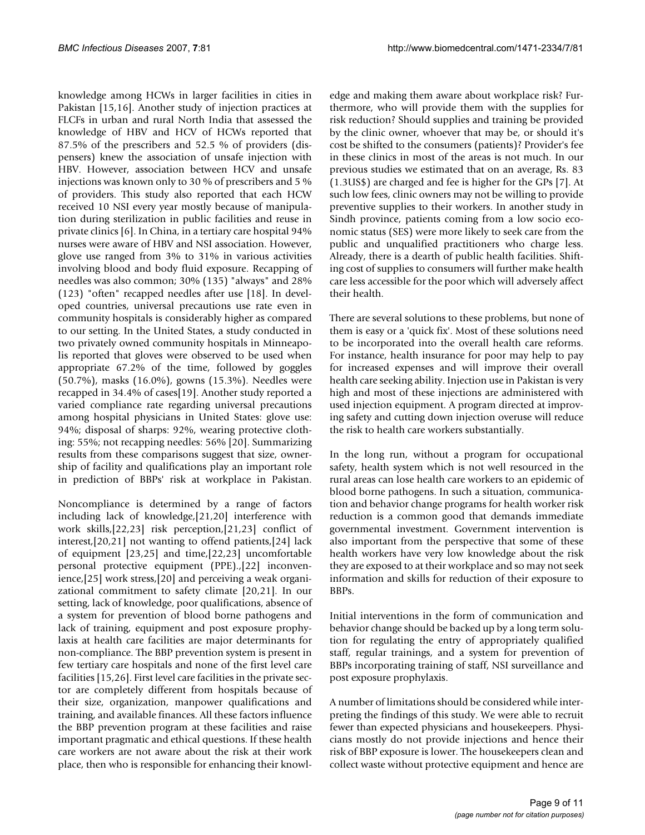knowledge among HCWs in larger facilities in cities in Pakistan [15,16]. Another study of injection practices at FLCFs in urban and rural North India that assessed the knowledge of HBV and HCV of HCWs reported that 87.5% of the prescribers and 52.5 % of providers (dispensers) knew the association of unsafe injection with HBV. However, association between HCV and unsafe injections was known only to 30 % of prescribers and 5 % of providers. This study also reported that each HCW received 10 NSI every year mostly because of manipulation during sterilization in public facilities and reuse in private clinics [6]. In China, in a tertiary care hospital 94% nurses were aware of HBV and NSI association. However, glove use ranged from 3% to 31% in various activities involving blood and body fluid exposure. Recapping of needles was also common; 30% (135) "always" and 28% (123) "often" recapped needles after use [18]. In developed countries, universal precautions use rate even in community hospitals is considerably higher as compared to our setting. In the United States, a study conducted in two privately owned community hospitals in Minneapolis reported that gloves were observed to be used when appropriate 67.2% of the time, followed by goggles (50.7%), masks (16.0%), gowns (15.3%). Needles were recapped in 34.4% of cases[19]. Another study reported a varied compliance rate regarding universal precautions among hospital physicians in United States: glove use: 94%; disposal of sharps: 92%, wearing protective clothing: 55%; not recapping needles: 56% [20]. Summarizing results from these comparisons suggest that size, ownership of facility and qualifications play an important role in prediction of BBPs' risk at workplace in Pakistan.

Noncompliance is determined by a range of factors including lack of knowledge,[21,20] interference with work skills,[22,23] risk perception,[21,23] conflict of interest,[20,21] not wanting to offend patients,[24] lack of equipment [23,25] and time,[22,23] uncomfortable personal protective equipment (PPE).,[22] inconvenience,[25] work stress,[20] and perceiving a weak organizational commitment to safety climate [20,21]. In our setting, lack of knowledge, poor qualifications, absence of a system for prevention of blood borne pathogens and lack of training, equipment and post exposure prophylaxis at health care facilities are major determinants for non-compliance. The BBP prevention system is present in few tertiary care hospitals and none of the first level care facilities [15,26]. First level care facilities in the private sector are completely different from hospitals because of their size, organization, manpower qualifications and training, and available finances. All these factors influence the BBP prevention program at these facilities and raise important pragmatic and ethical questions. If these health care workers are not aware about the risk at their work place, then who is responsible for enhancing their knowledge and making them aware about workplace risk? Furthermore, who will provide them with the supplies for risk reduction? Should supplies and training be provided by the clinic owner, whoever that may be, or should it's cost be shifted to the consumers (patients)? Provider's fee in these clinics in most of the areas is not much. In our previous studies we estimated that on an average, Rs. 83 (1.3US\$) are charged and fee is higher for the GPs [7]. At such low fees, clinic owners may not be willing to provide preventive supplies to their workers. In another study in Sindh province, patients coming from a low socio economic status (SES) were more likely to seek care from the public and unqualified practitioners who charge less. Already, there is a dearth of public health facilities. Shifting cost of supplies to consumers will further make health care less accessible for the poor which will adversely affect their health.

There are several solutions to these problems, but none of them is easy or a 'quick fix'. Most of these solutions need to be incorporated into the overall health care reforms. For instance, health insurance for poor may help to pay for increased expenses and will improve their overall health care seeking ability. Injection use in Pakistan is very high and most of these injections are administered with used injection equipment. A program directed at improving safety and cutting down injection overuse will reduce the risk to health care workers substantially.

In the long run, without a program for occupational safety, health system which is not well resourced in the rural areas can lose health care workers to an epidemic of blood borne pathogens. In such a situation, communication and behavior change programs for health worker risk reduction is a common good that demands immediate governmental investment. Government intervention is also important from the perspective that some of these health workers have very low knowledge about the risk they are exposed to at their workplace and so may not seek information and skills for reduction of their exposure to BBPs.

Initial interventions in the form of communication and behavior change should be backed up by a long term solution for regulating the entry of appropriately qualified staff, regular trainings, and a system for prevention of BBPs incorporating training of staff, NSI surveillance and post exposure prophylaxis.

A number of limitations should be considered while interpreting the findings of this study. We were able to recruit fewer than expected physicians and housekeepers. Physicians mostly do not provide injections and hence their risk of BBP exposure is lower. The housekeepers clean and collect waste without protective equipment and hence are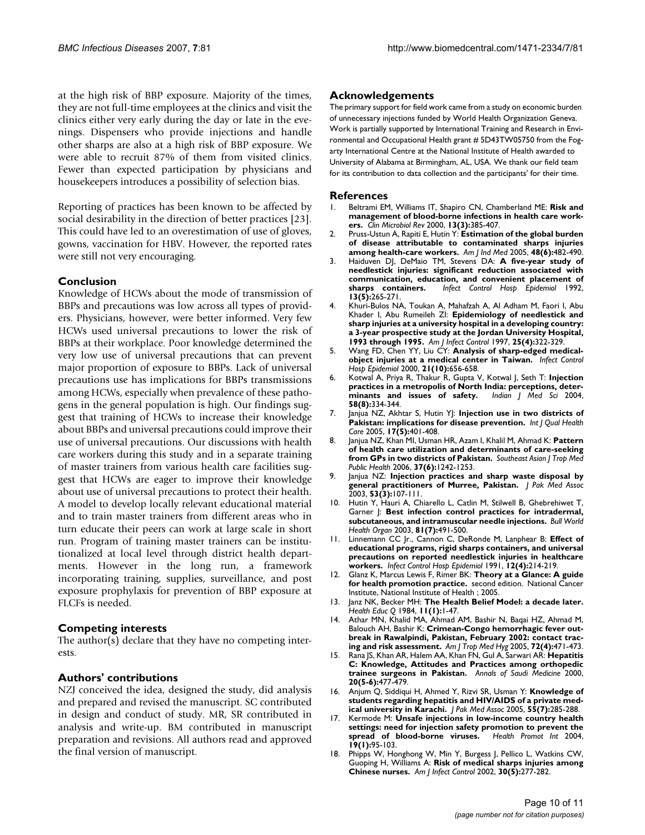at the high risk of BBP exposure. Majority of the times, they are not full-time employees at the clinics and visit the clinics either very early during the day or late in the evenings. Dispensers who provide injections and handle other sharps are also at a high risk of BBP exposure. We were able to recruit 87% of them from visited clinics. Fewer than expected participation by physicians and housekeepers introduces a possibility of selection bias.

Reporting of practices has been known to be affected by social desirability in the direction of better practices [23]. This could have led to an overestimation of use of gloves, gowns, vaccination for HBV. However, the reported rates were still not very encouraging.

#### **Conclusion**

Knowledge of HCWs about the mode of transmission of BBPs and precautions was low across all types of providers. Physicians, however, were better informed. Very few HCWs used universal precautions to lower the risk of BBPs at their workplace. Poor knowledge determined the very low use of universal precautions that can prevent major proportion of exposure to BBPs. Lack of universal precautions use has implications for BBPs transmissions among HCWs, especially when prevalence of these pathogens in the general population is high. Our findings suggest that training of HCWs to increase their knowledge about BBPs and universal precautions could improve their use of universal precautions. Our discussions with health care workers during this study and in a separate training of master trainers from various health care facilities suggest that HCWs are eager to improve their knowledge about use of universal precautions to protect their health. A model to develop locally relevant educational material and to train master trainers from different areas who in turn educate their peers can work at large scale in short run. Program of training master trainers can be institutionalized at local level through district health departments. However in the long run, a framework incorporating training, supplies, surveillance, and post exposure prophylaxis for prevention of BBP exposure at FLCFs is needed.

#### **Competing interests**

The author(s) declare that they have no competing interests.

### **Authors' contributions**

NZJ conceived the idea, designed the study, did analysis and prepared and revised the manuscript. SC contributed in design and conduct of study. MR, SR contributed in analysis and write-up. BM contributed in manuscript preparation and revisions. All authors read and approved the final version of manuscript.

#### **Acknowledgements**

The primary support for field work came from a study on economic burden of unnecessary injections funded by World Health Organization Geneva. Work is partially supported by International Training and Research in Environmental and Occupational Health grant # 5D43TW05750 from the Fogarty International Centre at the National Institute of Health awarded to University of Alabama at Birmingham, AL, USA. We thank our field team for its contribution to data collection and the participants' for their time.

#### **References**

- 1. Beltrami EM, Williams IT, Shapiro CN, Chamberland ME: **[Risk and](http://www.ncbi.nlm.nih.gov/entrez/query.fcgi?cmd=Retrieve&db=PubMed&dopt=Abstract&list_uids=10885983) [management of blood-borne infections in health care work](http://www.ncbi.nlm.nih.gov/entrez/query.fcgi?cmd=Retrieve&db=PubMed&dopt=Abstract&list_uids=10885983)[ers.](http://www.ncbi.nlm.nih.gov/entrez/query.fcgi?cmd=Retrieve&db=PubMed&dopt=Abstract&list_uids=10885983)** *Clin Microbiol Rev* 2000, **13(3):**385-407.
- 2. Pruss-Ustun A, Rapiti E, Hutin Y: **[Estimation of the global burden](http://www.ncbi.nlm.nih.gov/entrez/query.fcgi?cmd=Retrieve&db=PubMed&dopt=Abstract&list_uids=16299710) [of disease attributable to contaminated sharps injuries](http://www.ncbi.nlm.nih.gov/entrez/query.fcgi?cmd=Retrieve&db=PubMed&dopt=Abstract&list_uids=16299710) [among health-care workers.](http://www.ncbi.nlm.nih.gov/entrez/query.fcgi?cmd=Retrieve&db=PubMed&dopt=Abstract&list_uids=16299710)** *Am J Ind Med* 2005, **48(6):**482-490.
- 3. Haiduven DJ, DeMaio TM, Stevens DA: **[A five-year study of](http://www.ncbi.nlm.nih.gov/entrez/query.fcgi?cmd=Retrieve&db=PubMed&dopt=Abstract&list_uids=1593109) needlestick injuries: significant reduction associated with [communication, education, and convenient placement of](http://www.ncbi.nlm.nih.gov/entrez/query.fcgi?cmd=Retrieve&db=PubMed&dopt=Abstract&list_uids=1593109) [sharps containers.](http://www.ncbi.nlm.nih.gov/entrez/query.fcgi?cmd=Retrieve&db=PubMed&dopt=Abstract&list_uids=1593109)** *Infect Control Hosp Epidemiol* 1992, **13(5):**265-271.
- 4. Khuri-Bulos NA, Toukan A, Mahafzah A, Al Adham M, Faori I, Abu Khader I, Abu Rumeileh ZI: **[Epidemiology of needlestick and](http://www.ncbi.nlm.nih.gov/entrez/query.fcgi?cmd=Retrieve&db=PubMed&dopt=Abstract&list_uids=9276544) sharp injuries at a university hospital in a developing country: [a 3-year prospective study at the Jordan University Hospital,](http://www.ncbi.nlm.nih.gov/entrez/query.fcgi?cmd=Retrieve&db=PubMed&dopt=Abstract&list_uids=9276544) [1993 through 1995.](http://www.ncbi.nlm.nih.gov/entrez/query.fcgi?cmd=Retrieve&db=PubMed&dopt=Abstract&list_uids=9276544)** *Am J Infect Control* 1997, **25(4):**322-329.
- 5. Wang FD, Chen YY, Liu CY: **[Analysis of sharp-edged medical](http://www.ncbi.nlm.nih.gov/entrez/query.fcgi?cmd=Retrieve&db=PubMed&dopt=Abstract&list_uids=11083184)[object injuries at a medical center in Taiwan.](http://www.ncbi.nlm.nih.gov/entrez/query.fcgi?cmd=Retrieve&db=PubMed&dopt=Abstract&list_uids=11083184)** *Infect Control Hosp Epidemiol* 2000, **21(10):**656-658.
- 6. Kotwal A, Priya R, Thakur R, Gupta V, Kotwal J, Seth T: **[Injection](http://www.ncbi.nlm.nih.gov/entrez/query.fcgi?cmd=Retrieve&db=PubMed&dopt=Abstract&list_uids=15345887) [practices in a metropolis of North India: perceptions, deter](http://www.ncbi.nlm.nih.gov/entrez/query.fcgi?cmd=Retrieve&db=PubMed&dopt=Abstract&list_uids=15345887)**[minants and issues of safety.](http://www.ncbi.nlm.nih.gov/entrez/query.fcgi?cmd=Retrieve&db=PubMed&dopt=Abstract&list_uids=15345887) **58(8):**334-344.
- 7. Janjua NZ, Akhtar S, Hutin YJ: **[Injection use in two districts of](http://www.ncbi.nlm.nih.gov/entrez/query.fcgi?cmd=Retrieve&db=PubMed&dopt=Abstract&list_uids=15883127) [Pakistan: implications for disease prevention.](http://www.ncbi.nlm.nih.gov/entrez/query.fcgi?cmd=Retrieve&db=PubMed&dopt=Abstract&list_uids=15883127)** *Int J Qual Health Care* 2005, **17(5):**401-408.
- 8. Janjua NZ, Khan MI, Usman HR, Azam I, Khalil M, Ahmad K: **[Pattern](http://www.ncbi.nlm.nih.gov/entrez/query.fcgi?cmd=Retrieve&db=PubMed&dopt=Abstract&list_uids=17333784) [of health care utilization and determinants of care-seeking](http://www.ncbi.nlm.nih.gov/entrez/query.fcgi?cmd=Retrieve&db=PubMed&dopt=Abstract&list_uids=17333784) [from GPs in two districts of Pakistan.](http://www.ncbi.nlm.nih.gov/entrez/query.fcgi?cmd=Retrieve&db=PubMed&dopt=Abstract&list_uids=17333784)** *Southeast Asian J Trop Med Public Health* 2006, **37(6):**1242-1253.
- 9. Janjua NZ: **[Injection practices and sharp waste disposal by](http://www.ncbi.nlm.nih.gov/entrez/query.fcgi?cmd=Retrieve&db=PubMed&dopt=Abstract&list_uids=12779025) [general practitioners of Murree, Pakistan.](http://www.ncbi.nlm.nih.gov/entrez/query.fcgi?cmd=Retrieve&db=PubMed&dopt=Abstract&list_uids=12779025)** *J Pak Med Assoc* 2003, **53(3):**107-111.
- 10. Hutin Y, Hauri A, Chiarello L, Catlin M, Stilwell B, Ghebrehiwet T, Garner |: [Best infection control practices for intradermal,](http://www.ncbi.nlm.nih.gov/entrez/query.fcgi?cmd=Retrieve&db=PubMed&dopt=Abstract&list_uids=12973641) **[subcutaneous, and intramuscular needle injections.](http://www.ncbi.nlm.nih.gov/entrez/query.fcgi?cmd=Retrieve&db=PubMed&dopt=Abstract&list_uids=12973641)** *Bull World Health Organ* 2003, **81(7):**491-500.
- 11. Linnemann CC Jr., Cannon C, DeRonde M, Lanphear B: **[Effect of](http://www.ncbi.nlm.nih.gov/entrez/query.fcgi?cmd=Retrieve&db=PubMed&dopt=Abstract&list_uids=2061579) educational programs, rigid sharps containers, and universal [precautions on reported needlestick injuries in healthcare](http://www.ncbi.nlm.nih.gov/entrez/query.fcgi?cmd=Retrieve&db=PubMed&dopt=Abstract&list_uids=2061579) [workers.](http://www.ncbi.nlm.nih.gov/entrez/query.fcgi?cmd=Retrieve&db=PubMed&dopt=Abstract&list_uids=2061579)** *Infect Control Hosp Epidemiol* 1991, **12(4):**214-219.
- 12. Glanz K, Marcus Lewis F, Rimer BK: **Theory at a Glance: A guide for health promotion practice.** second edition. National Cancer Institute, National Institute of Health ; 2005.
- 13. Janz NK, Becker MH: **[The Health Belief Model: a decade later.](http://www.ncbi.nlm.nih.gov/entrez/query.fcgi?cmd=Retrieve&db=PubMed&dopt=Abstract&list_uids=6392204)** *Health Educ Q* 1984, **11(1):**1-47.
- 14. Athar MN, Khalid MA, Ahmad AM, Bashir N, Baqai HZ, Ahmad M, Balouch AH, Bashir K: **[Crimean-Congo hemorrhagic fever out](http://www.ncbi.nlm.nih.gov/entrez/query.fcgi?cmd=Retrieve&db=PubMed&dopt=Abstract&list_uids=15827289)[break in Rawalpindi, Pakistan, February 2002: contact trac](http://www.ncbi.nlm.nih.gov/entrez/query.fcgi?cmd=Retrieve&db=PubMed&dopt=Abstract&list_uids=15827289)[ing and risk assessment.](http://www.ncbi.nlm.nih.gov/entrez/query.fcgi?cmd=Retrieve&db=PubMed&dopt=Abstract&list_uids=15827289)** *Am J Trop Med Hyg* 2005, **72(4):**471-473.
- 15. Rana JS, Khan AR, Halem AA, Khan FN, Gul A, Sarwari AR: **[Hepatitis](http://www.ncbi.nlm.nih.gov/entrez/query.fcgi?cmd=Retrieve&db=PubMed&dopt=Abstract&list_uids=17264656) [C: Knowledge, Attitudes and Practices among orthopedic](http://www.ncbi.nlm.nih.gov/entrez/query.fcgi?cmd=Retrieve&db=PubMed&dopt=Abstract&list_uids=17264656) [trainee surgeons in Pakistan.](http://www.ncbi.nlm.nih.gov/entrez/query.fcgi?cmd=Retrieve&db=PubMed&dopt=Abstract&list_uids=17264656)** *Annals of Saudi Medicine* 2000, **20(5-6):**477-479.
- 16. Anjum Q, Siddiqui H, Ahmed Y, Rizvi SR, Usman Y: **[Knowledge of](http://www.ncbi.nlm.nih.gov/entrez/query.fcgi?cmd=Retrieve&db=PubMed&dopt=Abstract&list_uids=16108511) [students regarding hepatitis and HIV/AIDS of a private med](http://www.ncbi.nlm.nih.gov/entrez/query.fcgi?cmd=Retrieve&db=PubMed&dopt=Abstract&list_uids=16108511)[ical university in Karachi.](http://www.ncbi.nlm.nih.gov/entrez/query.fcgi?cmd=Retrieve&db=PubMed&dopt=Abstract&list_uids=16108511)** *J Pak Med Assoc* 2005, **55(7):**285-288.
- 17. Kermode M: **[Unsafe injections in low-income country health](http://www.ncbi.nlm.nih.gov/entrez/query.fcgi?cmd=Retrieve&db=PubMed&dopt=Abstract&list_uids=14976177) [settings: need for injection safety promotion to prevent the](http://www.ncbi.nlm.nih.gov/entrez/query.fcgi?cmd=Retrieve&db=PubMed&dopt=Abstract&list_uids=14976177) [spread of blood-borne viruses.](http://www.ncbi.nlm.nih.gov/entrez/query.fcgi?cmd=Retrieve&db=PubMed&dopt=Abstract&list_uids=14976177)** *Health Promot Int* 2004, **19(1):**95-103.
- Phipps W, Honghong W, Min Y, Burgess J, Pellico L, Watkins CW, Guoping H, Williams A: **[Risk of medical sharps injuries among](http://www.ncbi.nlm.nih.gov/entrez/query.fcgi?cmd=Retrieve&db=PubMed&dopt=Abstract&list_uids=12163861) [Chinese nurses.](http://www.ncbi.nlm.nih.gov/entrez/query.fcgi?cmd=Retrieve&db=PubMed&dopt=Abstract&list_uids=12163861)** *Am J Infect Control* 2002, **30(5):**277-282.